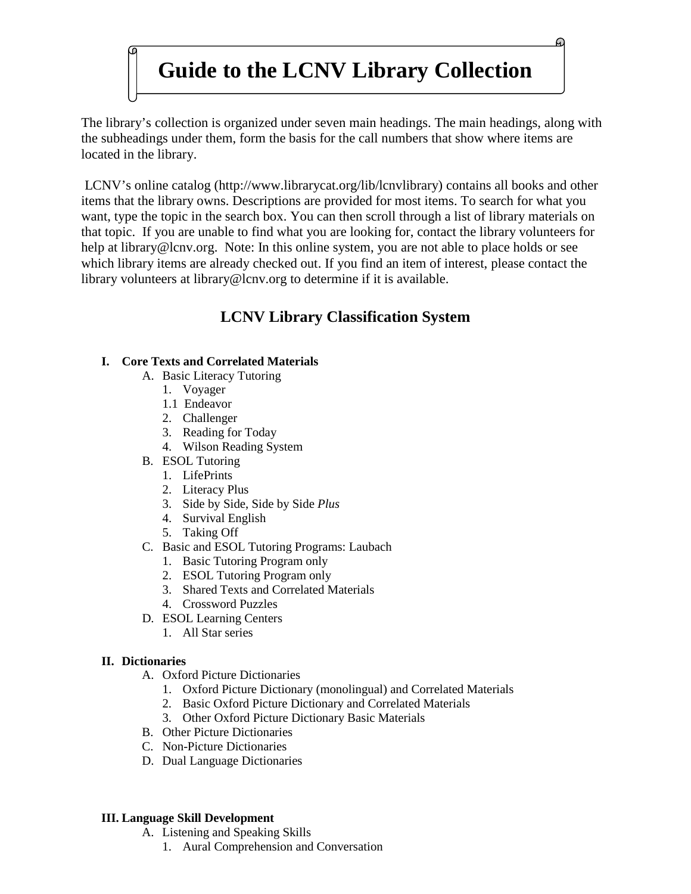# **Guide to the LCNV Library Collection**

The library's collection is organized under seven main headings. The main headings, along with the subheadings under them, form the basis for the call numbers that show where items are located in the library.

LCNV's online catalog [\(http://www.librarycat.org/lib/lcnvlibrary\)](http://www.librarycat.org/lib/lcnvlibrary) contains all books and other items that the library owns. Descriptions are provided for most items. To search for what you want, type the topic in the search box. You can then scroll through a list of library materials on that topic. If you are unable to find what you are looking for, contact the library volunteers for help at library@lcnv.org. Note: In this online system, you are not able to place holds or see which library items are already checked out. If you find an item of interest, please contact the library volunteers at library@lcnv.org to determine if it is available.

# **LCNV Library Classification System**

# **I. Core Texts and Correlated Materials**

- A. Basic Literacy Tutoring
	- 1. Voyager
	- 1.1 Endeavor
	- 2. Challenger
	- 3. Reading for Today
	- 4. Wilson Reading System
- B. ESOL Tutoring
	- 1. LifePrints
	- 2. Literacy Plus
	- 3. Side by Side, Side by Side *Plus*
	- 4. Survival English
	- 5. Taking Off
- C. Basic and ESOL Tutoring Programs: Laubach
	- 1. Basic Tutoring Program only
	- 2. ESOL Tutoring Program only
	- 3. Shared Texts and Correlated Materials
	- 4. Crossword Puzzles
- D. ESOL Learning Centers
	- 1. All Star series

#### **II. Dictionaries**

- A. Oxford Picture Dictionaries
	- 1. Oxford Picture Dictionary (monolingual) and Correlated Materials
	- 2. Basic Oxford Picture Dictionary and Correlated Materials
	- 3. Other Oxford Picture Dictionary Basic Materials
- B. Other Picture Dictionaries
- C. Non-Picture Dictionaries
- D. Dual Language Dictionaries

#### **III. Language Skill Development**

- A. Listening and Speaking Skills
	- 1. Aural Comprehension and Conversation